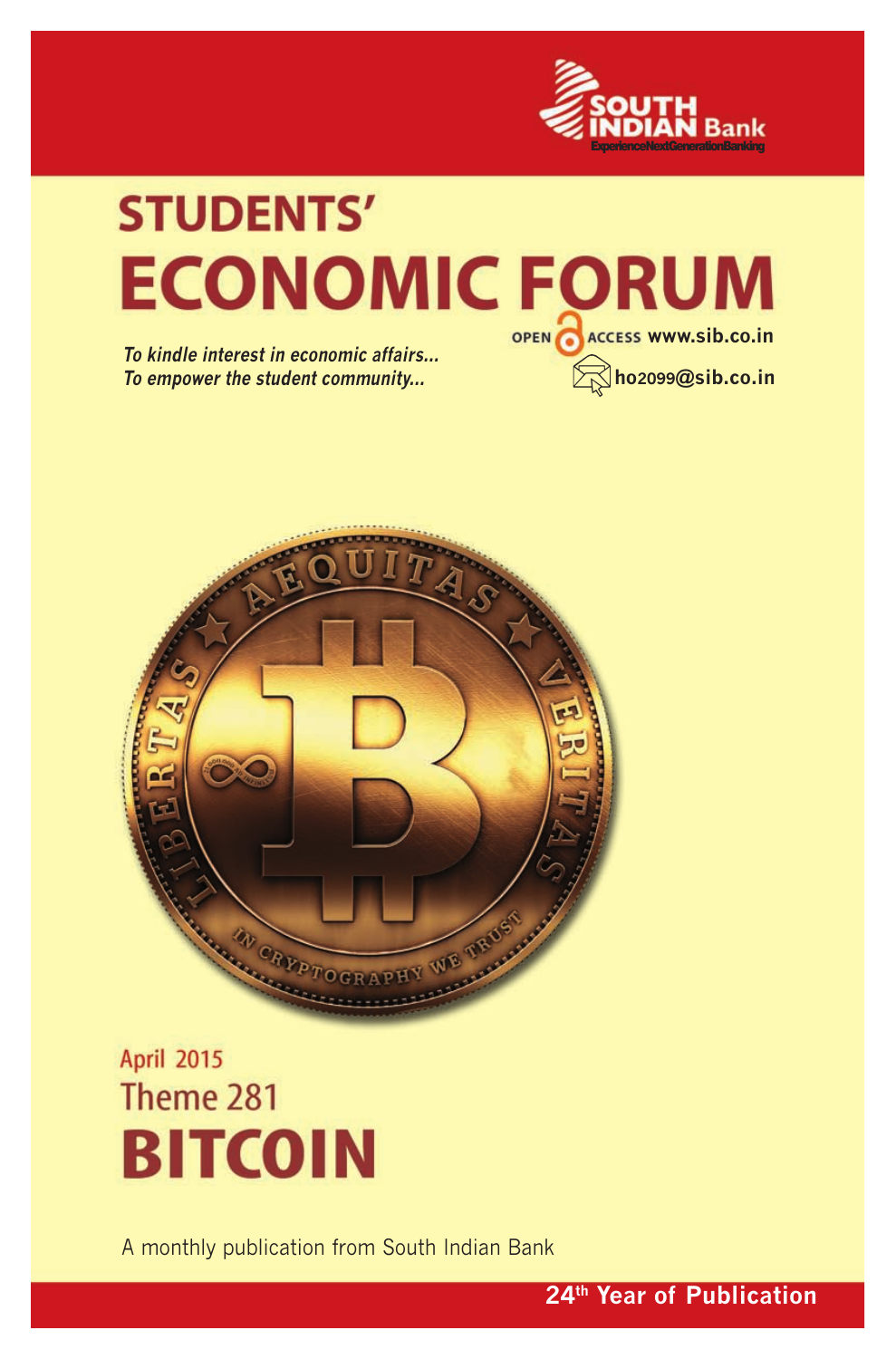

**ho2099@sib.co.in**

## **STUDENTS' ECONOMIC FORUM OPEN ACCESS WWW.SID.CO.IN**

**To kindle interest in economic affairs... To empower the student community...**



## **April 2015** Theme 281 **BITCOIN**

A monthly publication from South Indian Bank

**24th Year of Publication**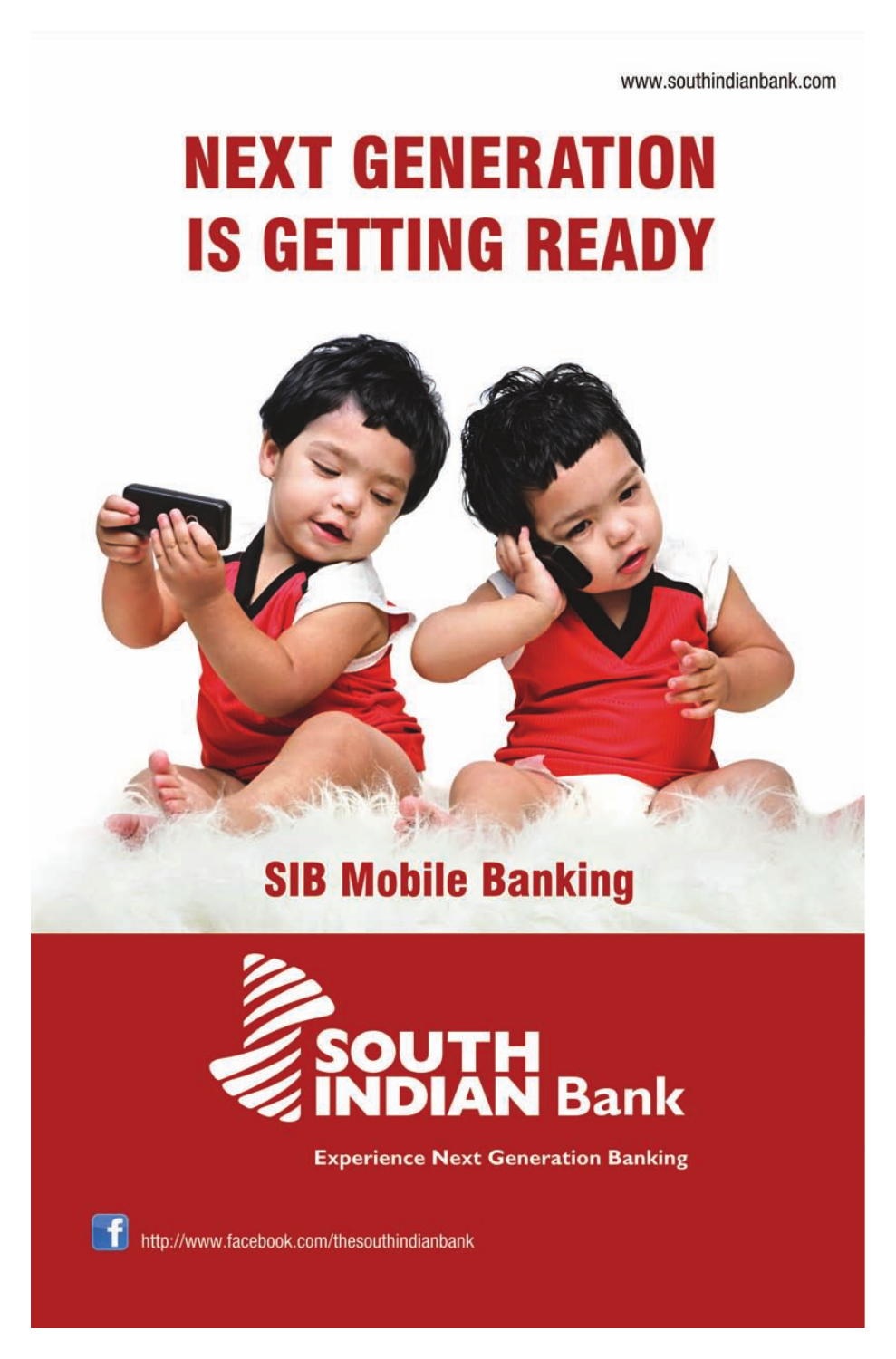www.southindianhank.com

# **NEXT GENERATION IS GETTING READY**



## **SIB Mobile Banking**



**Experience Next Generation Banking** 

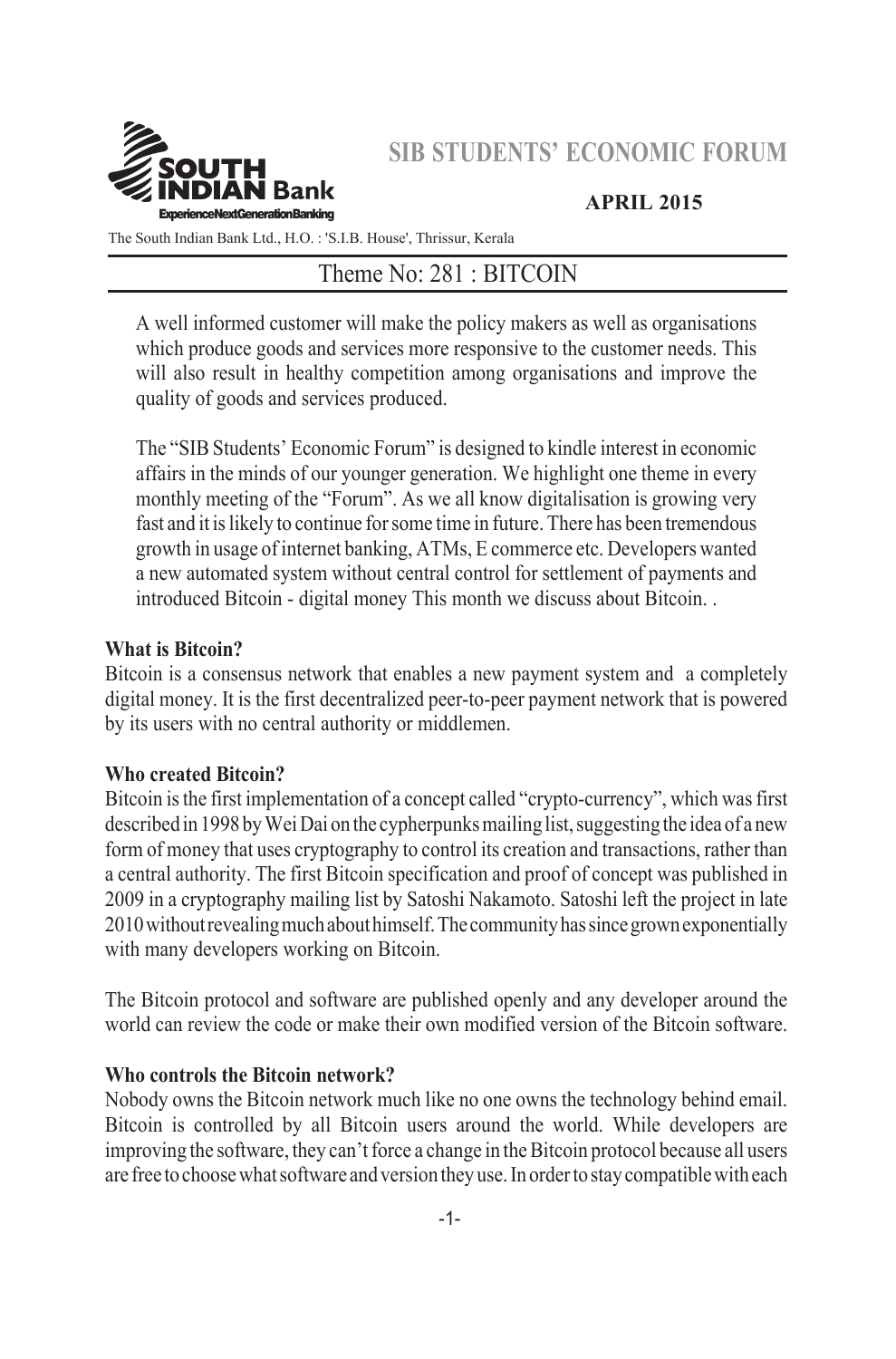

**SIB STUDENTS' ECONOMIC FORUM**

The South Indian Bank Ltd., H.O. : 'S.I.B. House', Thrissur, Kerala

#### Theme No: 281 : BITCOIN

A well informed customer will make the policy makers as well as organisations which produce goods and services more responsive to the customer needs. This will also result in healthy competition among organisations and improve the quality of goods and services produced.

The "SIB Students' Economic Forum" is designed to kindle interest in economic affairs in the minds of our younger generation. We highlight one theme in every monthly meeting of the "Forum". As we all know digitalisation is growing very fast and it is likely to continue for some time in future. There has been tremendous growth in usage of internet banking, ATMs, E commerce etc. Developers wanted a new automated system without central control for settlement of payments and introduced Bitcoin - digital money This month we discuss about Bitcoin. .

#### **What is Bitcoin?**

Bitcoin is a consensus network that enables a new payment system and a completely digital money. It is the first decentralized peer-to-peer payment network that is powered by its users with no central authority or middlemen.

#### **Who created Bitcoin?**

Bitcoin is the first implementation of a concept called "crypto-currency", which was first described in 1998 by Wei Dai on the cypherpunks mailing list, suggesting the idea of a new form of money that uses cryptography to control its creation and transactions, rather than a central authority. The first Bitcoin specification and proof of concept was published in 2009 in a cryptography mailing list by Satoshi Nakamoto. Satoshi left the project in late 2010 without revealing much about himself. The community has since grown exponentially with many developers working on Bitcoin.

The Bitcoin protocol and software are published openly and any developer around the world can review the code or make their own modified version of the Bitcoin software.

#### **Who controls the Bitcoin network?**

Nobody owns the Bitcoin network much like no one owns the technology behind email. Bitcoin is controlled by all Bitcoin users around the world. While developers are improving the software, they can't force a change in the Bitcoin protocol because all users are free to choose what software and version they use. In order to stay compatible with each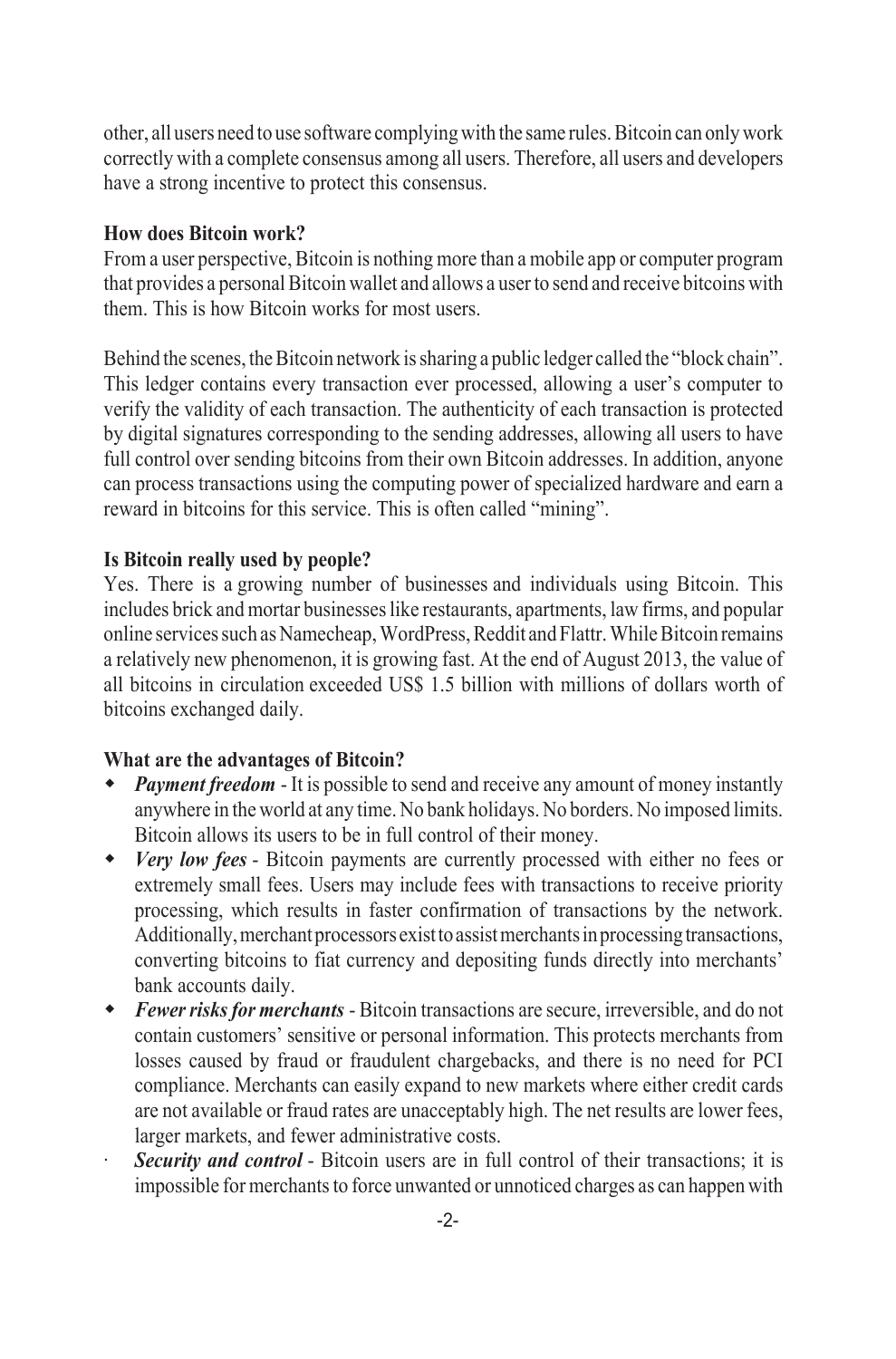other, all users need to use software complying with the same rules. Bitcoin can only work correctly with a complete consensus among all users. Therefore, all users and developers have a strong incentive to protect this consensus.

#### **How does Bitcoin work?**

From a user perspective, Bitcoin is nothing more than a mobile app or computer program that provides a personal Bitcoin wallet and allows a user to send and receive bitcoins with them. This is how Bitcoin works for most users.

Behind the scenes, the Bitcoin network is sharing a public ledger called the "block chain". This ledger contains every transaction ever processed, allowing a user's computer to verify the validity of each transaction. The authenticity of each transaction is protected by digital signatures corresponding to the sending addresses, allowing all users to have full control over sending bitcoins from their own Bitcoin addresses. In addition, anyone can process transactions using the computing power of specialized hardware and earn a reward in bitcoins for this service. This is often called "mining".

#### **Is Bitcoin really used by people?**

Yes. There is a growing number of businesses and individuals using Bitcoin. This includes brick and mortar businesses like restaurants, apartments, law firms, and popular online services such as Namecheap, WordPress, Reddit and Flattr. While Bitcoin remains a relatively new phenomenon, it is growing fast. At the end of August 2013, the value of all bitcoins in circulation exceeded US\$ 1.5 billion with millions of dollars worth of bitcoins exchanged daily.

#### **What are the advantages of Bitcoin?**

- *Payment freedom* It is possible to send and receive any amount of money instantly anywhere in the world at any time. No bank holidays. No borders. No imposed limits. Bitcoin allows its users to be in full control of their money.
- *Very low fees* Bitcoin payments are currently processed with either no fees or extremely small fees. Users may include fees with transactions to receive priority processing, which results in faster confirmation of transactions by the network. Additionally, merchant processors exist to assist merchants in processing transactions, converting bitcoins to fiat currency and depositing funds directly into merchants' bank accounts daily.
- *Fewer risks for merchants* Bitcoin transactions are secure, irreversible, and do not contain customers' sensitive or personal information. This protects merchants from losses caused by fraud or fraudulent chargebacks, and there is no need for PCI compliance. Merchants can easily expand to new markets where either credit cards are not available or fraud rates are unacceptably high. The net results are lower fees, larger markets, and fewer administrative costs.
- **Security and control** Bitcoin users are in full control of their transactions; it is impossible for merchants to force unwanted or unnoticed charges as can happen with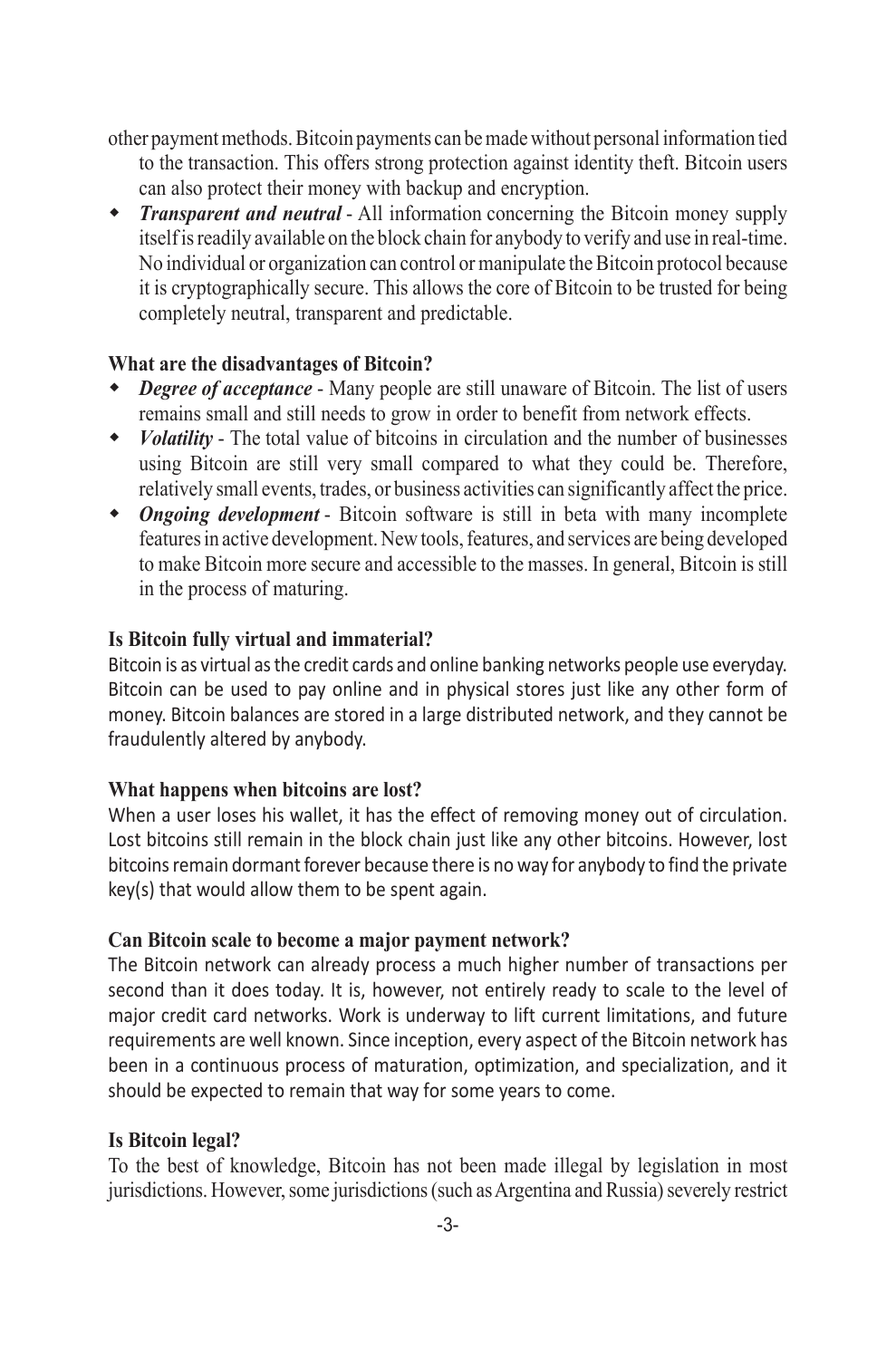other payment methods. Bitcoin payments can be made without personal information tied to the transaction. This offers strong protection against identity theft. Bitcoin users can also protect their money with backup and encryption.

 *Transparent and neutral* - All information concerning the Bitcoin money supply itself is readily available on the block chain for anybody to verify and use in real-time. No individual or organization can control or manipulate the Bitcoin protocol because it is cryptographically secure. This allows the core of Bitcoin to be trusted for being completely neutral, transparent and predictable.

#### **What are the disadvantages of Bitcoin?**

- *Degree of acceptance* Many people are still unaware of Bitcoin. The list of users remains small and still needs to grow in order to benefit from network effects.
- *Volatility* The total value of bitcoins in circulation and the number of businesses using Bitcoin are still very small compared to what they could be. Therefore, relatively small events, trades, or business activities can significantly affect the price.
- *Ongoing development* Bitcoin software is still in beta with many incomplete features in active development. New tools, features, and services are being developed to make Bitcoin more secure and accessible to the masses. In general, Bitcoin is still in the process of maturing.

#### **Is Bitcoin fully virtual and immaterial?**

Bitcoin is as virtual as the credit cards and online banking networks people use everyday. Bitcoin can be used to pay online and in physical stores just like any other form of money. Bitcoin balances are stored in a large distributed network, and they cannot be fraudulently altered by anybody.

#### **What happens when bitcoins are lost?**

When a user loses his wallet, it has the effect of removing money out of circulation. Lost bitcoins still remain in the block chain just like any other bitcoins. However, lost bitcoins remain dormant forever because there is no way for anybody to find the private key(s) that would allow them to be spent again.

#### **Can Bitcoin scale to become a major payment network?**

The Bitcoin network can already process a much higher number of transactions per second than it does today. It is, however, not entirely ready to scale to the level of major credit card networks. Work is underway to lift current limitations, and future requirements are well known. Since inception, every aspect of the Bitcoin network has been in a continuous process of maturation, optimization, and specialization, and it should be expected to remain that way for some years to come.

#### **Is Bitcoin legal?**

To the best of knowledge, Bitcoin has not been made illegal by legislation in most jurisdictions. However, some jurisdictions (such as Argentina and Russia) severely restrict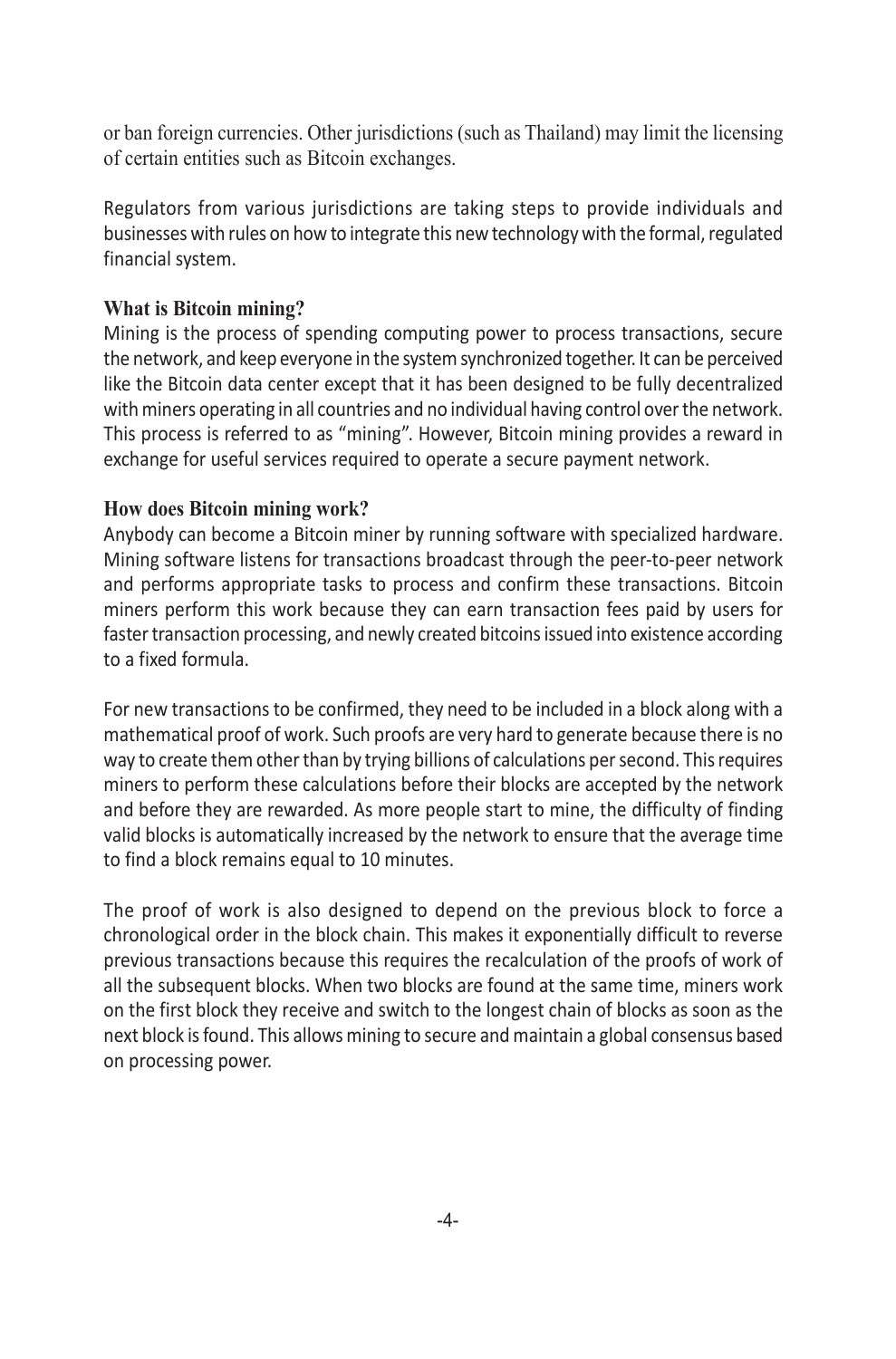or ban foreign currencies. Other jurisdictions (such as Thailand) may limit the licensing of certain entities such as Bitcoin exchanges.

Regulators from various jurisdictions are taking steps to provide individuals and businesses with rules on how to integrate this new technology with the formal, regulated financial system.

#### **What is Bitcoin mining?**

Mining is the process of spending computing power to process transactions, secure the network, and keep everyone in the system synchronized together. It can be perceived like the Bitcoin data center except that it has been designed to be fully decentralized with miners operating in all countries and no individual having control over the network. This process is referred to as "mining". However, Bitcoin mining provides a reward in exchange for useful services required to operate a secure payment network.

#### **How does Bitcoin mining work?**

Anybody can become a Bitcoin miner by running software with specialized hardware. Mining software listens for transactions broadcast through the peer-to-peer network and performs appropriate tasks to process and confirm these transactions. Bitcoin miners perform this work because they can earn transaction fees paid by users for faster transaction processing, and newly created bitcoins issued into existence according to a fixed formula.

For new transactions to be confirmed, they need to be included in a block along with a mathematical proof of work. Such proofs are very hard to generate because there is no way to create them other than by trying billions of calculations per second. This requires miners to perform these calculations before their blocks are accepted by the network and before they are rewarded. As more people start to mine, the difficulty of finding valid blocks is automatically increased by the network to ensure that the average time to find a block remains equal to 10 minutes.

The proof of work is also designed to depend on the previous block to force a chronological order in the block chain. This makes it exponentially difficult to reverse previous transactions because this requires the recalculation of the proofs of work of all the subsequent blocks. When two blocks are found at the same time, miners work on the first block they receive and switch to the longest chain of blocks as soon as the next block is found. This allows mining to secure and maintain a global consensus based on processing power.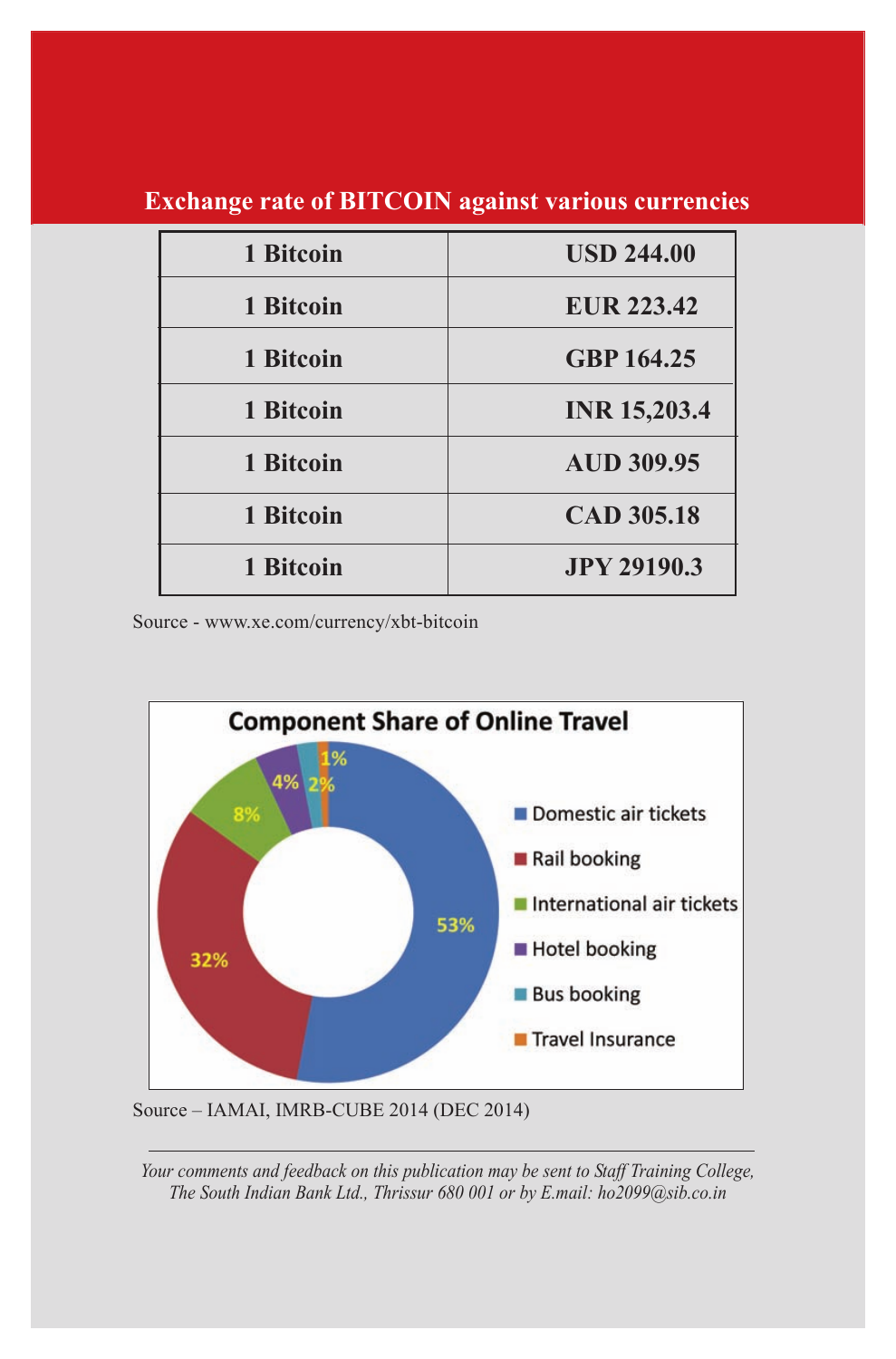| <b>Exchange rate of BITCOIN against various currencies</b> |  |  |
|------------------------------------------------------------|--|--|
|                                                            |  |  |
|                                                            |  |  |
|                                                            |  |  |

| 1 Bitcoin | <b>USD 244.00</b>   |  |  |
|-----------|---------------------|--|--|
| 1 Bitcoin | <b>EUR 223.42</b>   |  |  |
| 1 Bitcoin | GBP 164.25          |  |  |
| 1 Bitcoin | <b>INR 15,203.4</b> |  |  |
| 1 Bitcoin | <b>AUD 309.95</b>   |  |  |
| 1 Bitcoin | <b>CAD 305.18</b>   |  |  |
| 1 Bitcoin | <b>JPY 29190.3</b>  |  |  |

Source - www.xe.com/currency/xbt-bitcoin



Source – IAMAI, IMRB-CUBE 2014 (DEC 2014)

*Your comments and feedback on this publication may be sent to Staff Training College, The South Indian Bank Ltd., Thrissur 680 001 or by E.mail: ho2099@sib.co.in*